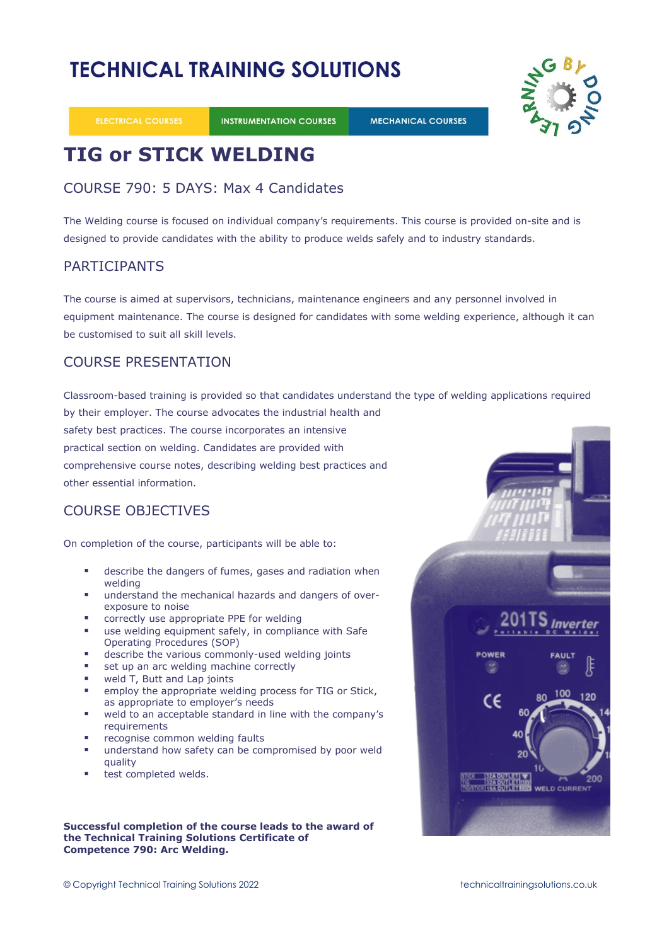# **TECHNICAL TRAINING SOLUTIONS**

**ELECTRICAL COURSES** 

**INSTRUMENTATION COURSES** 

**MECHANICAL COURSES** 



# **TIG or STICK WELDING**

## COURSE 790: 5 DAYS: Max 4 Candidates

The Welding course is focused on individual company's requirements. This course is provided on-site and is designed to provide candidates with the ability to produce welds safely and to industry standards.

## PARTICIPANTS

The course is aimed at supervisors, technicians, maintenance engineers and any personnel involved in equipment maintenance. The course is designed for candidates with some welding experience, although it can be customised to suit all skill levels.

## COURSE PRESENTATION

Classroom-based training is provided so that candidates understand the type of welding applications required by their employer. The course advocates the industrial health and

safety best practices. The course incorporates an intensive practical section on welding. Candidates are provided with comprehensive course notes, describing welding best practices and other essential information.

# COURSE OBJECTIVES

On completion of the course, participants will be able to:

- describe the dangers of fumes, gases and radiation when welding
- understand the mechanical hazards and dangers of overexposure to noise
- correctly use appropriate PPE for welding
- use welding equipment safely, in compliance with Safe Operating Procedures (SOP)
- describe the various commonly-used welding joints
- set up an arc welding machine correctly
- weld T, Butt and Lap joints
- employ the appropriate welding process for TIG or Stick, as appropriate to employer's needs
- weld to an acceptable standard in line with the company's requirements
- recognise common welding faults
- understand how safety can be compromised by poor weld quality
- test completed welds.

## **Successful completion of the course leads to the award of the Technical Training Solutions Certificate of Competence 790: Arc Welding.**

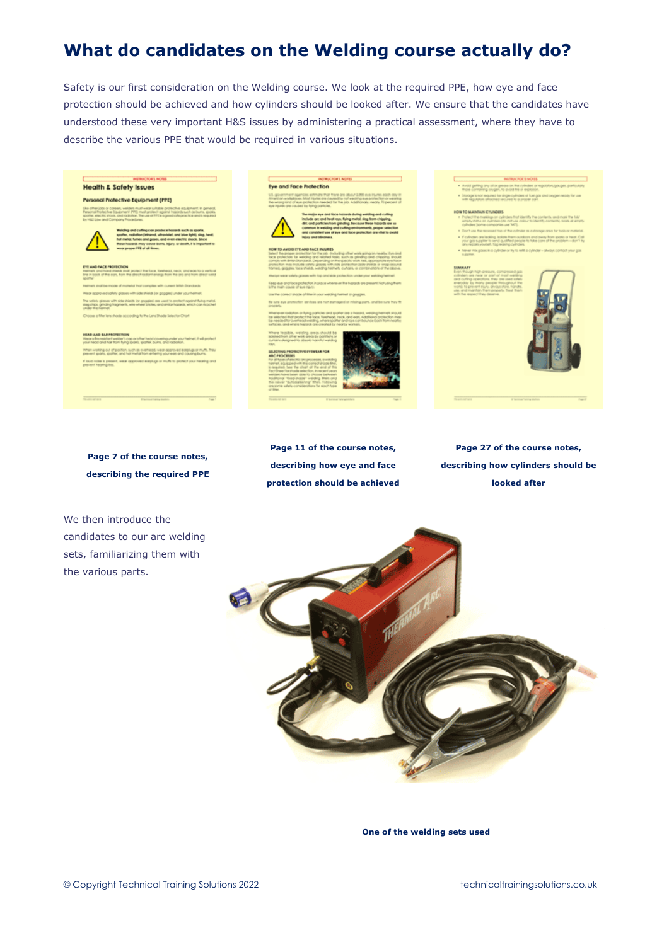# **What do candidates on the Welding course actually do?**

Safety is our first consideration on the Welding course. We look at the required PPE, how eye and face protection should be achieved and how cylinders should be looked after. We ensure that the candidates have understood these very important H&S issues by administering a practical assessment, where they have to describe the various PPE that would be required in various situations.

### **Health & Safety Issues**

### **Personal Protective Equipment (PPE)**



#### HEAD AND EAR PROTECTION





**Page 7 of the course notes, describing the required PPE**

We then introduce the candidates to our arc welding sets, familiarizing them with the various parts.



**Page 27 of the course notes, describing how cylinders should be looked after**



**One of the welding sets used**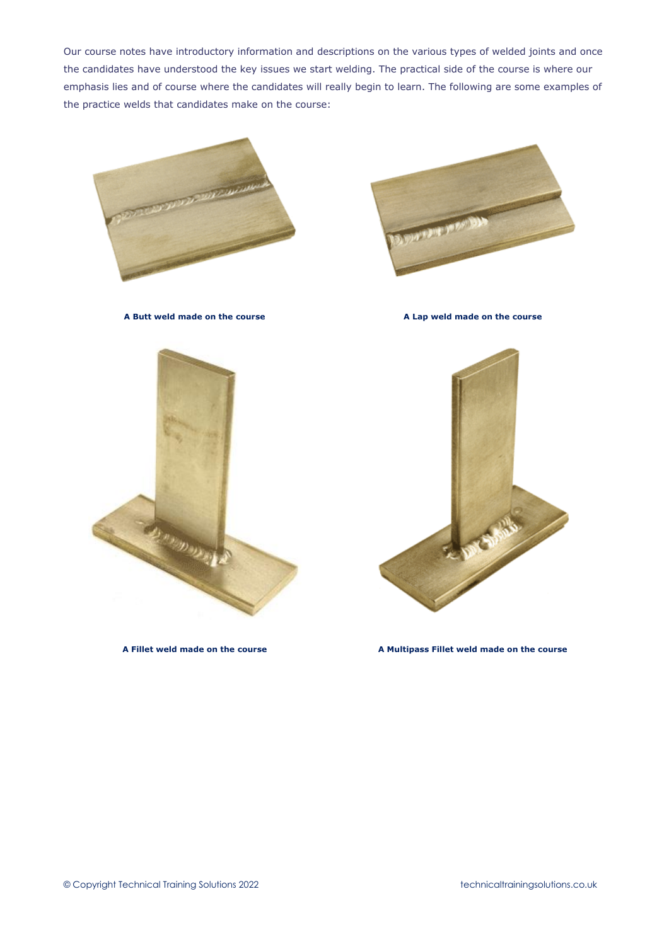Our course notes have introductory information and descriptions on the various types of welded joints and once the candidates have understood the key issues we start welding. The practical side of the course is where our emphasis lies and of course where the candidates will really begin to learn. The following are some examples of the practice welds that candidates make on the course:



**A Butt weld made on the course A Lap weld made on the course**







**A Fillet weld made on the course A Multipass Fillet weld made on the course**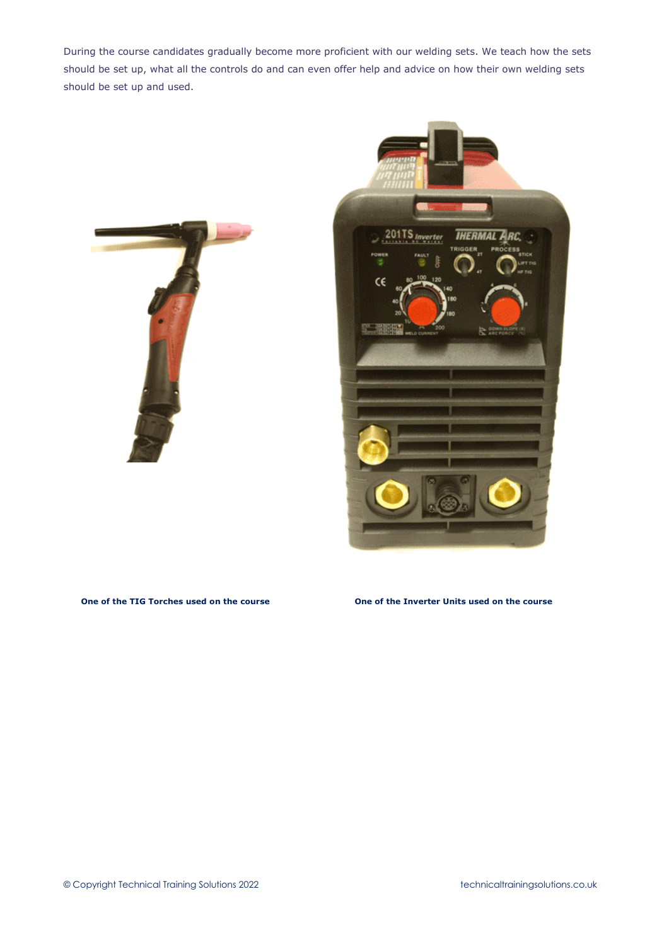During the course candidates gradually become more proficient with our welding sets. We teach how the sets should be set up, what all the controls do and can even offer help and advice on how their own welding sets should be set up and used.





## **One of the TIG Torches used on the course One of the Inverter Units used on the course**